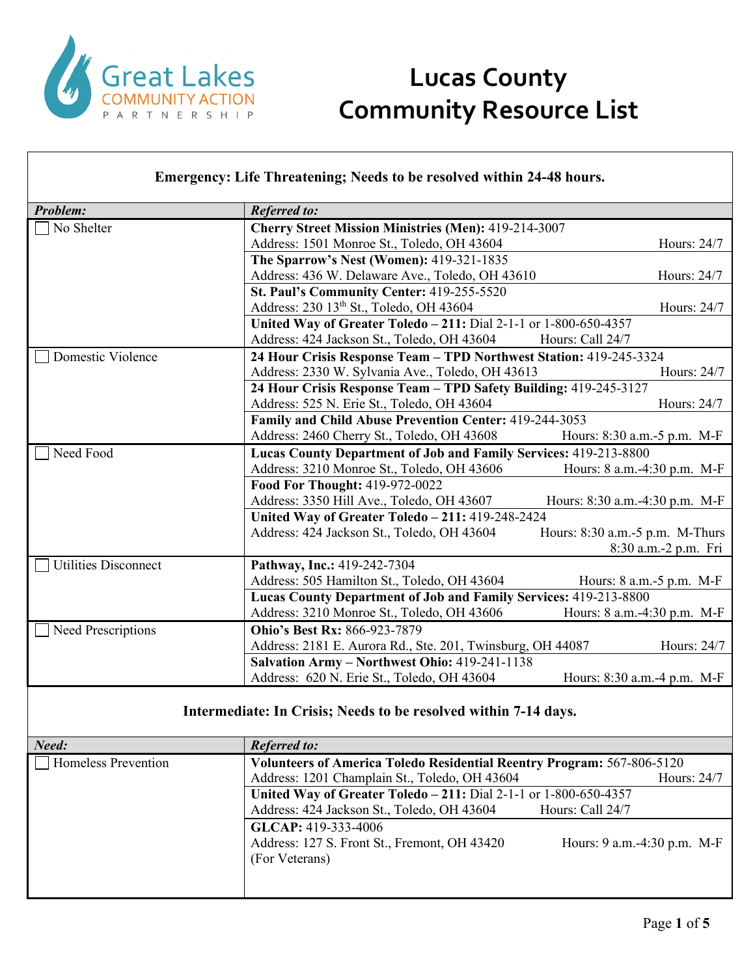

| <b>Emergency: Life Threatening; Needs to be resolved within 24-48 hours.</b> |  |  |
|------------------------------------------------------------------------------|--|--|
|                                                                              |  |  |
|                                                                              |  |  |
|                                                                              |  |  |

| Problem:                    | <b>Referred to:</b>                                                |                                 |  |
|-----------------------------|--------------------------------------------------------------------|---------------------------------|--|
| No Shelter                  | <b>Cherry Street Mission Ministries (Men): 419-214-3007</b>        |                                 |  |
|                             | Address: 1501 Monroe St., Toledo, OH 43604                         | Hours: 24/7                     |  |
|                             | The Sparrow's Nest (Women): 419-321-1835                           |                                 |  |
|                             | Address: 436 W. Delaware Ave., Toledo, OH 43610                    | Hours: 24/7                     |  |
|                             | St. Paul's Community Center: 419-255-5520                          |                                 |  |
|                             | Address: 230 13 <sup>th</sup> St., Toledo, OH 43604                | Hours: 24/7                     |  |
|                             | United Way of Greater Toledo - 211: Dial 2-1-1 or 1-800-650-4357   |                                 |  |
|                             | Address: 424 Jackson St., Toledo, OH 43604                         | Hours: Call 24/7                |  |
| Domestic Violence           | 24 Hour Crisis Response Team - TPD Northwest Station: 419-245-3324 |                                 |  |
|                             | Address: 2330 W. Sylvania Ave., Toledo, OH 43613                   | Hours: 24/7                     |  |
|                             | 24 Hour Crisis Response Team - TPD Safety Building: 419-245-3127   |                                 |  |
|                             | Address: 525 N. Erie St., Toledo, OH 43604                         | Hours: 24/7                     |  |
|                             | Family and Child Abuse Prevention Center: 419-244-3053             |                                 |  |
|                             | Address: 2460 Cherry St., Toledo, OH 43608                         | Hours: 8:30 a.m. - 5 p.m. M-F   |  |
| Need Food                   | Lucas County Department of Job and Family Services: 419-213-8800   |                                 |  |
|                             | Address: 3210 Monroe St., Toledo, OH 43606                         | Hours: 8 a.m.-4:30 p.m. M-F     |  |
|                             | Food For Thought: 419-972-0022                                     |                                 |  |
|                             | Address: 3350 Hill Ave., Toledo, OH 43607                          | Hours: 8:30 a.m.-4:30 p.m. M-F  |  |
|                             | United Way of Greater Toledo - 211: 419-248-2424                   |                                 |  |
|                             | Address: 424 Jackson St., Toledo, OH 43604                         | Hours: 8:30 a.m.-5 p.m. M-Thurs |  |
|                             |                                                                    | 8:30 a.m.-2 p.m. Fri            |  |
| <b>Utilities Disconnect</b> | Pathway, Inc.: 419-242-7304                                        |                                 |  |
|                             | Address: 505 Hamilton St., Toledo, OH 43604                        | Hours: $8$ a.m. $-5$ p.m. M-F   |  |
|                             | Lucas County Department of Job and Family Services: 419-213-8800   |                                 |  |
|                             | Address: 3210 Monroe St., Toledo, OH 43606                         | Hours: 8 a.m.-4:30 p.m. M-F     |  |
| Need Prescriptions          | <b>Ohio's Best Rx: 866-923-7879</b>                                |                                 |  |
|                             | Address: 2181 E. Aurora Rd., Ste. 201, Twinsburg, OH 44087         | Hours: 24/7                     |  |
|                             | Salvation Army - Northwest Ohio: 419-241-1138                      |                                 |  |
|                             | Address: 620 N. Erie St., Toledo, OH 43604                         | Hours: 8:30 a.m.-4 p.m. M-F     |  |

#### **Intermediate: In Crisis; Needs to be resolved within 7-14 days.**

| Need:                      | <b>Referred to:</b>                                                    |                              |
|----------------------------|------------------------------------------------------------------------|------------------------------|
| <b>Homeless Prevention</b> | Volunteers of America Toledo Residential Reentry Program: 567-806-5120 |                              |
|                            | Address: 1201 Champlain St., Toledo, OH 43604                          | Hours: 24/7                  |
|                            | United Way of Greater Toledo - 211: Dial 2-1-1 or 1-800-650-4357       |                              |
|                            | Address: 424 Jackson St., Toledo, OH 43604                             | Hours: Call 24/7             |
|                            | GLCAP: 419-333-4006                                                    |                              |
|                            | Address: 127 S. Front St., Fremont, OH 43420                           | Hours: 9 a.m. -4:30 p.m. M-F |
|                            | (For Veterans)                                                         |                              |
|                            |                                                                        |                              |
|                            |                                                                        |                              |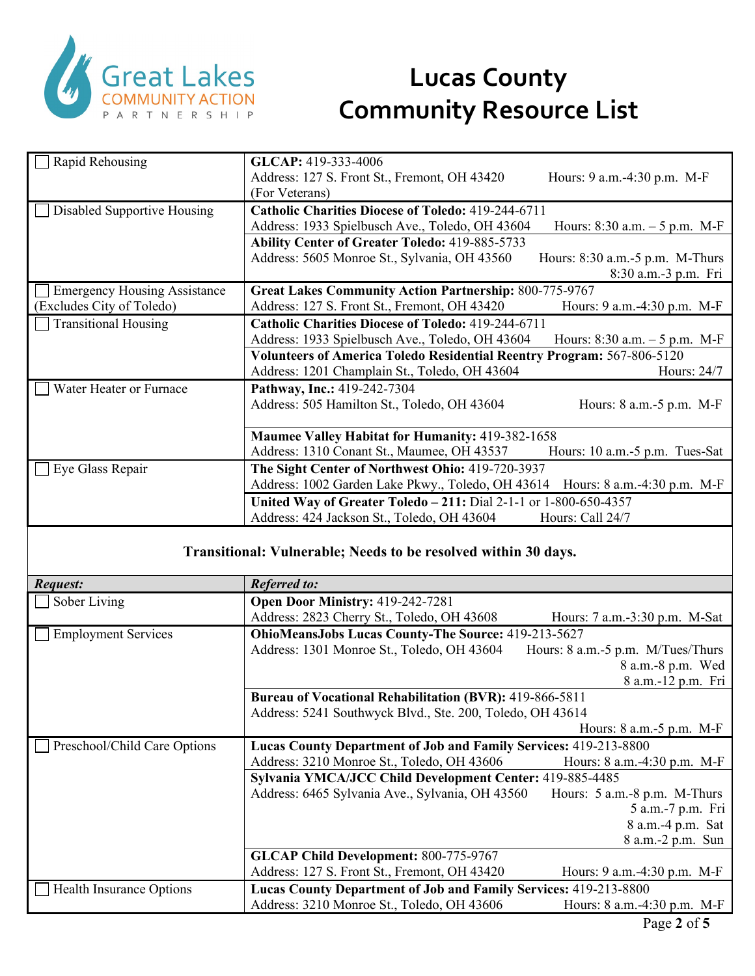

| Rapid Rehousing                     | GLCAP: 419-333-4006                                                                 |  |  |
|-------------------------------------|-------------------------------------------------------------------------------------|--|--|
|                                     | Address: 127 S. Front St., Fremont, OH 43420<br>Hours: 9 a.m. -4:30 p.m. M-F        |  |  |
|                                     | (For Veterans)                                                                      |  |  |
| Disabled Supportive Housing         | <b>Catholic Charities Diocese of Toledo: 419-244-6711</b>                           |  |  |
|                                     | Address: 1933 Spielbusch Ave., Toledo, OH 43604<br>Hours: $8:30$ a.m. $-5$ p.m. M-F |  |  |
|                                     | <b>Ability Center of Greater Toledo: 419-885-5733</b>                               |  |  |
|                                     | Address: 5605 Monroe St., Sylvania, OH 43560<br>Hours: 8:30 a.m.-5 p.m. M-Thurs     |  |  |
|                                     | 8:30 a.m.-3 p.m. Fri                                                                |  |  |
| <b>Emergency Housing Assistance</b> | <b>Great Lakes Community Action Partnership: 800-775-9767</b>                       |  |  |
| (Excludes City of Toledo)           | Address: 127 S. Front St., Fremont, OH 43420<br>Hours: 9 a.m.-4:30 p.m. M-F         |  |  |
| <b>Transitional Housing</b>         | <b>Catholic Charities Diocese of Toledo: 419-244-6711</b>                           |  |  |
|                                     | Address: 1933 Spielbusch Ave., Toledo, OH 43604<br>Hours: $8:30$ a.m. $-5$ p.m. M-F |  |  |
|                                     | Volunteers of America Toledo Residential Reentry Program: 567-806-5120              |  |  |
|                                     | Address: 1201 Champlain St., Toledo, OH 43604<br>Hours: 24/7                        |  |  |
| Water Heater or Furnace             | Pathway, Inc.: 419-242-7304                                                         |  |  |
|                                     | Address: 505 Hamilton St., Toledo, OH 43604<br>Hours: 8 a.m.-5 p.m. M-F             |  |  |
|                                     |                                                                                     |  |  |
|                                     | <b>Maumee Valley Habitat for Humanity: 419-382-1658</b>                             |  |  |
|                                     | Address: 1310 Conant St., Maumee, OH 43537<br>Hours: 10 a.m.-5 p.m. Tues-Sat        |  |  |
| Eye Glass Repair                    | The Sight Center of Northwest Ohio: 419-720-3937                                    |  |  |
|                                     | Address: 1002 Garden Lake Pkwy., Toledo, OH 43614<br>Hours: 8 a.m.-4:30 p.m. M-F    |  |  |
|                                     | United Way of Greater Toledo - 211: Dial 2-1-1 or 1-800-650-4357                    |  |  |
|                                     | Address: 424 Jackson St., Toledo, OH 43604<br>Hours: Call 24/7                      |  |  |
|                                     |                                                                                     |  |  |
|                                     | Transitional: Vulnerable; Needs to be resolved within 30 days.                      |  |  |
|                                     |                                                                                     |  |  |
| Request:                            | <b>Referred to:</b>                                                                 |  |  |
| Sober Living                        | Open Door Ministry: 419-242-7281                                                    |  |  |
|                                     | Address: 2823 Cherry St., Toledo, OH 43608<br>Hours: 7 a.m.-3:30 p.m. M-Sat         |  |  |
| <b>Employment Services</b>          | <b>OhioMeansJobs Lucas County-The Source: 419-213-5627</b>                          |  |  |
|                                     | Address: 1301 Monroe St., Toledo, OH 43604<br>Hours: 8 a.m.-5 p.m. M/Tues/Thurs     |  |  |
|                                     | 8 a.m.-8 p.m. Wed                                                                   |  |  |

|                                                                  | $0.411 - 0.111$ , $0.41$         |  |
|------------------------------------------------------------------|----------------------------------|--|
|                                                                  | 8 a.m.-12 p.m. Fri               |  |
| <b>Bureau of Vocational Rehabilitation (BVR): 419-866-5811</b>   |                                  |  |
| Address: 5241 Southwyck Blvd., Ste. 200, Toledo, OH 43614        |                                  |  |
|                                                                  | Hours: $8$ a.m.- $5$ p.m. M-F    |  |
| Lucas County Department of Job and Family Services: 419-213-8800 |                                  |  |
| Address: 3210 Monroe St., Toledo, OH 43606                       | Hours: $8$ a.m. $-4:30$ p.m. M-F |  |
| Sylvania YMCA/JCC Child Development Center: 419-885-4485         |                                  |  |
| Address: 6465 Sylvania Ave., Sylvania, OH 43560                  | Hours: 5 a.m.-8 p.m. M-Thurs     |  |
|                                                                  | 5 a.m.-7 p.m. Fri                |  |
|                                                                  | 8 a.m.-4 p.m. Sat                |  |
|                                                                  | 8 a.m.-2 p.m. Sun                |  |
| <b>GLCAP Child Development: 800-775-9767</b>                     |                                  |  |
| Address: 127 S. Front St., Fremont, OH 43420                     | Hours: $9$ a.m. $-4:30$ p.m. M-F |  |
| Lucas County Department of Job and Family Services: 419-213-8800 |                                  |  |
| Address: 3210 Monroe St., Toledo, OH 43606                       | Hours: 8 a.m.-4:30 p.m. M-F      |  |
|                                                                  |                                  |  |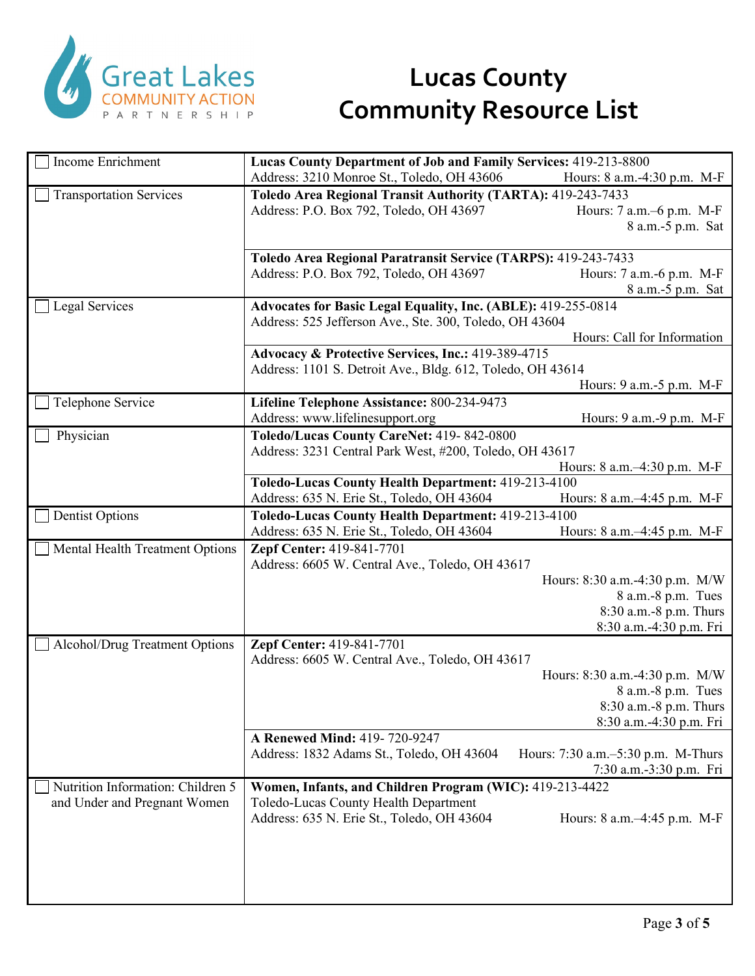

| <b>Income Enrichment</b>          | Lucas County Department of Job and Family Services: 419-213-8800                |
|-----------------------------------|---------------------------------------------------------------------------------|
|                                   | Address: 3210 Monroe St., Toledo, OH 43606                                      |
|                                   | Hours: 8 a.m.-4:30 p.m. M-F                                                     |
| <b>Transportation Services</b>    | Toledo Area Regional Transit Authority (TARTA): 419-243-7433                    |
|                                   | Address: P.O. Box 792, Toledo, OH 43697<br>Hours: 7 a.m.–6 p.m. M-F             |
|                                   | 8 a.m.-5 p.m. Sat                                                               |
|                                   |                                                                                 |
|                                   | Toledo Area Regional Paratransit Service (TARPS): 419-243-7433                  |
|                                   | Address: P.O. Box 792, Toledo, OH 43697<br>Hours: 7 a.m.-6 p.m. M-F             |
|                                   | 8 a.m.-5 p.m. Sat                                                               |
| <b>Legal Services</b>             | Advocates for Basic Legal Equality, Inc. (ABLE): 419-255-0814                   |
|                                   | Address: 525 Jefferson Ave., Ste. 300, Toledo, OH 43604                         |
|                                   | Hours: Call for Information                                                     |
|                                   | Advocacy & Protective Services, Inc.: 419-389-4715                              |
|                                   | Address: 1101 S. Detroit Ave., Bldg. 612, Toledo, OH 43614                      |
|                                   | Hours: 9 a.m.-5 p.m. M-F                                                        |
| Telephone Service                 | Lifeline Telephone Assistance: 800-234-9473                                     |
|                                   | Address: www.lifelinesupport.org<br>Hours: 9 a.m.-9 p.m. M-F                    |
| Physician                         | Toledo/Lucas County CareNet: 419-842-0800                                       |
|                                   | Address: 3231 Central Park West, #200, Toledo, OH 43617                         |
|                                   | Hours: 8 a.m. -4:30 p.m. M-F                                                    |
|                                   | Toledo-Lucas County Health Department: 419-213-4100                             |
|                                   | Address: 635 N. Erie St., Toledo, OH 43604<br>Hours: 8 a.m.-4:45 p.m. M-F       |
| <b>Dentist Options</b>            | Toledo-Lucas County Health Department: 419-213-4100                             |
|                                   | Address: 635 N. Erie St., Toledo, OH 43604<br>Hours: 8 a.m.-4:45 p.m. M-F       |
| Mental Health Treatment Options   | Zepf Center: 419-841-7701                                                       |
|                                   | Address: 6605 W. Central Ave., Toledo, OH 43617                                 |
|                                   | Hours: 8:30 a.m.-4:30 p.m. M/W                                                  |
|                                   | 8 a.m.-8 p.m. Tues                                                              |
|                                   | 8:30 a.m.-8 p.m. Thurs                                                          |
|                                   | 8:30 a.m.-4:30 p.m. Fri                                                         |
|                                   |                                                                                 |
| Alcohol/Drug Treatment Options    | Zepf Center: 419-841-7701                                                       |
|                                   | Address: 6605 W. Central Ave., Toledo, OH 43617                                 |
|                                   | Hours: 8:30 a.m.-4:30 p.m. M/W                                                  |
|                                   | 8 a.m.-8 p.m. Tues                                                              |
|                                   | 8:30 a.m.-8 p.m. Thurs                                                          |
|                                   | 8:30 a.m.-4:30 p.m. Fri                                                         |
|                                   | A Renewed Mind: 419-720-9247                                                    |
|                                   | Address: 1832 Adams St., Toledo, OH 43604<br>Hours: 7:30 a.m.–5:30 p.m. M-Thurs |
|                                   | 7:30 a.m.-3:30 p.m. Fri                                                         |
| Nutrition Information: Children 5 | Women, Infants, and Children Program (WIC): 419-213-4422                        |
| and Under and Pregnant Women      | Toledo-Lucas County Health Department                                           |
|                                   | Address: 635 N. Erie St., Toledo, OH 43604<br>Hours: $8$ a.m. $-4:45$ p.m. M-F  |
|                                   |                                                                                 |
|                                   |                                                                                 |
|                                   |                                                                                 |
|                                   |                                                                                 |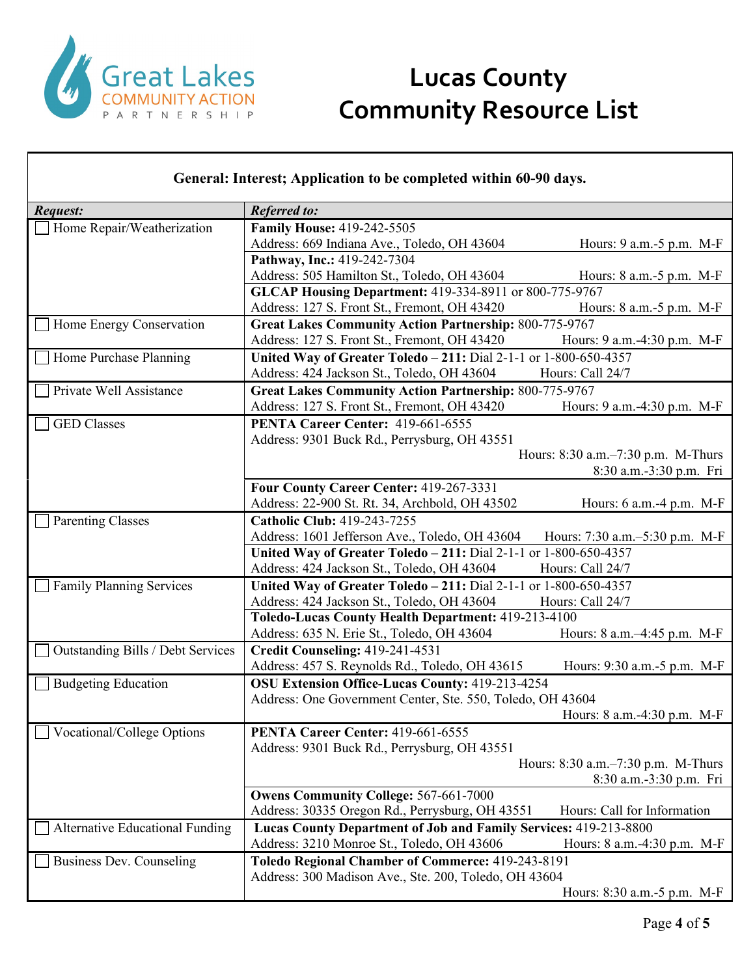

| <b>Referred to:</b><br>Request:<br><b>Family House: 419-242-5505</b><br>Home Repair/Weatherization<br>Address: 669 Indiana Ave., Toledo, OH 43604<br>Hours: 9 a.m. - 5 p.m. M-F<br>Pathway, Inc.: 419-242-7304<br>Address: 505 Hamilton St., Toledo, OH 43604<br>Hours: $8$ a.m. $-5$ p.m. M-F<br>GLCAP Housing Department: 419-334-8911 or 800-775-9767<br>Address: 127 S. Front St., Fremont, OH 43420<br>Hours: 8 a.m.-5 p.m. M-F<br>Great Lakes Community Action Partnership: 800-775-9767<br>Home Energy Conservation<br>Address: 127 S. Front St., Fremont, OH 43420<br>Hours: 9 a.m.-4:30 p.m. M-F<br>United Way of Greater Toledo - 211: Dial 2-1-1 or 1-800-650-4357<br>Home Purchase Planning<br>Hours: Call 24/7<br>Address: 424 Jackson St., Toledo, OH 43604<br><b>Great Lakes Community Action Partnership: 800-775-9767</b><br>Private Well Assistance<br>Address: 127 S. Front St., Fremont, OH 43420<br>Hours: 9 a.m.-4:30 p.m. M-F<br><b>GED Classes</b><br>PENTA Career Center: 419-661-6555<br>Address: 9301 Buck Rd., Perrysburg, OH 43551<br>Hours: 8:30 a.m.–7:30 p.m. M-Thurs<br>8:30 a.m.-3:30 p.m. Fri<br>Four County Career Center: 419-267-3331<br>Address: 22-900 St. Rt. 34, Archbold, OH 43502<br>Hours: 6 a.m. -4 p.m. M-F<br><b>Catholic Club: 419-243-7255</b><br><b>Parenting Classes</b><br>Address: 1601 Jefferson Ave., Toledo, OH 43604<br>Hours: 7:30 a.m. -5:30 p.m. M-F<br>United Way of Greater Toledo - 211: Dial 2-1-1 or 1-800-650-4357<br>Address: 424 Jackson St., Toledo, OH 43604<br>Hours: Call 24/7 |
|---------------------------------------------------------------------------------------------------------------------------------------------------------------------------------------------------------------------------------------------------------------------------------------------------------------------------------------------------------------------------------------------------------------------------------------------------------------------------------------------------------------------------------------------------------------------------------------------------------------------------------------------------------------------------------------------------------------------------------------------------------------------------------------------------------------------------------------------------------------------------------------------------------------------------------------------------------------------------------------------------------------------------------------------------------------------------------------------------------------------------------------------------------------------------------------------------------------------------------------------------------------------------------------------------------------------------------------------------------------------------------------------------------------------------------------------------------------------------------------------------------------------------------------------------------|
|                                                                                                                                                                                                                                                                                                                                                                                                                                                                                                                                                                                                                                                                                                                                                                                                                                                                                                                                                                                                                                                                                                                                                                                                                                                                                                                                                                                                                                                                                                                                                         |
|                                                                                                                                                                                                                                                                                                                                                                                                                                                                                                                                                                                                                                                                                                                                                                                                                                                                                                                                                                                                                                                                                                                                                                                                                                                                                                                                                                                                                                                                                                                                                         |
|                                                                                                                                                                                                                                                                                                                                                                                                                                                                                                                                                                                                                                                                                                                                                                                                                                                                                                                                                                                                                                                                                                                                                                                                                                                                                                                                                                                                                                                                                                                                                         |
|                                                                                                                                                                                                                                                                                                                                                                                                                                                                                                                                                                                                                                                                                                                                                                                                                                                                                                                                                                                                                                                                                                                                                                                                                                                                                                                                                                                                                                                                                                                                                         |
|                                                                                                                                                                                                                                                                                                                                                                                                                                                                                                                                                                                                                                                                                                                                                                                                                                                                                                                                                                                                                                                                                                                                                                                                                                                                                                                                                                                                                                                                                                                                                         |
|                                                                                                                                                                                                                                                                                                                                                                                                                                                                                                                                                                                                                                                                                                                                                                                                                                                                                                                                                                                                                                                                                                                                                                                                                                                                                                                                                                                                                                                                                                                                                         |
|                                                                                                                                                                                                                                                                                                                                                                                                                                                                                                                                                                                                                                                                                                                                                                                                                                                                                                                                                                                                                                                                                                                                                                                                                                                                                                                                                                                                                                                                                                                                                         |
|                                                                                                                                                                                                                                                                                                                                                                                                                                                                                                                                                                                                                                                                                                                                                                                                                                                                                                                                                                                                                                                                                                                                                                                                                                                                                                                                                                                                                                                                                                                                                         |
|                                                                                                                                                                                                                                                                                                                                                                                                                                                                                                                                                                                                                                                                                                                                                                                                                                                                                                                                                                                                                                                                                                                                                                                                                                                                                                                                                                                                                                                                                                                                                         |
|                                                                                                                                                                                                                                                                                                                                                                                                                                                                                                                                                                                                                                                                                                                                                                                                                                                                                                                                                                                                                                                                                                                                                                                                                                                                                                                                                                                                                                                                                                                                                         |
|                                                                                                                                                                                                                                                                                                                                                                                                                                                                                                                                                                                                                                                                                                                                                                                                                                                                                                                                                                                                                                                                                                                                                                                                                                                                                                                                                                                                                                                                                                                                                         |
|                                                                                                                                                                                                                                                                                                                                                                                                                                                                                                                                                                                                                                                                                                                                                                                                                                                                                                                                                                                                                                                                                                                                                                                                                                                                                                                                                                                                                                                                                                                                                         |
|                                                                                                                                                                                                                                                                                                                                                                                                                                                                                                                                                                                                                                                                                                                                                                                                                                                                                                                                                                                                                                                                                                                                                                                                                                                                                                                                                                                                                                                                                                                                                         |
|                                                                                                                                                                                                                                                                                                                                                                                                                                                                                                                                                                                                                                                                                                                                                                                                                                                                                                                                                                                                                                                                                                                                                                                                                                                                                                                                                                                                                                                                                                                                                         |
|                                                                                                                                                                                                                                                                                                                                                                                                                                                                                                                                                                                                                                                                                                                                                                                                                                                                                                                                                                                                                                                                                                                                                                                                                                                                                                                                                                                                                                                                                                                                                         |
|                                                                                                                                                                                                                                                                                                                                                                                                                                                                                                                                                                                                                                                                                                                                                                                                                                                                                                                                                                                                                                                                                                                                                                                                                                                                                                                                                                                                                                                                                                                                                         |
|                                                                                                                                                                                                                                                                                                                                                                                                                                                                                                                                                                                                                                                                                                                                                                                                                                                                                                                                                                                                                                                                                                                                                                                                                                                                                                                                                                                                                                                                                                                                                         |
|                                                                                                                                                                                                                                                                                                                                                                                                                                                                                                                                                                                                                                                                                                                                                                                                                                                                                                                                                                                                                                                                                                                                                                                                                                                                                                                                                                                                                                                                                                                                                         |
|                                                                                                                                                                                                                                                                                                                                                                                                                                                                                                                                                                                                                                                                                                                                                                                                                                                                                                                                                                                                                                                                                                                                                                                                                                                                                                                                                                                                                                                                                                                                                         |
|                                                                                                                                                                                                                                                                                                                                                                                                                                                                                                                                                                                                                                                                                                                                                                                                                                                                                                                                                                                                                                                                                                                                                                                                                                                                                                                                                                                                                                                                                                                                                         |
|                                                                                                                                                                                                                                                                                                                                                                                                                                                                                                                                                                                                                                                                                                                                                                                                                                                                                                                                                                                                                                                                                                                                                                                                                                                                                                                                                                                                                                                                                                                                                         |
|                                                                                                                                                                                                                                                                                                                                                                                                                                                                                                                                                                                                                                                                                                                                                                                                                                                                                                                                                                                                                                                                                                                                                                                                                                                                                                                                                                                                                                                                                                                                                         |
| <b>Family Planning Services</b><br>United Way of Greater Toledo - 211: Dial 2-1-1 or 1-800-650-4357                                                                                                                                                                                                                                                                                                                                                                                                                                                                                                                                                                                                                                                                                                                                                                                                                                                                                                                                                                                                                                                                                                                                                                                                                                                                                                                                                                                                                                                     |
| Address: 424 Jackson St., Toledo, OH 43604<br>Hours: Call 24/7                                                                                                                                                                                                                                                                                                                                                                                                                                                                                                                                                                                                                                                                                                                                                                                                                                                                                                                                                                                                                                                                                                                                                                                                                                                                                                                                                                                                                                                                                          |
| Toledo-Lucas County Health Department: 419-213-4100                                                                                                                                                                                                                                                                                                                                                                                                                                                                                                                                                                                                                                                                                                                                                                                                                                                                                                                                                                                                                                                                                                                                                                                                                                                                                                                                                                                                                                                                                                     |
| Address: 635 N. Erie St., Toledo, OH 43604<br>Hours: 8 a.m.-4:45 p.m. M-F                                                                                                                                                                                                                                                                                                                                                                                                                                                                                                                                                                                                                                                                                                                                                                                                                                                                                                                                                                                                                                                                                                                                                                                                                                                                                                                                                                                                                                                                               |
| Credit Counseling: 419-241-4531<br>Outstanding Bills / Debt Services                                                                                                                                                                                                                                                                                                                                                                                                                                                                                                                                                                                                                                                                                                                                                                                                                                                                                                                                                                                                                                                                                                                                                                                                                                                                                                                                                                                                                                                                                    |
| Address: 457 S. Reynolds Rd., Toledo, OH 43615<br>Hours: 9:30 a.m.-5 p.m. M-F                                                                                                                                                                                                                                                                                                                                                                                                                                                                                                                                                                                                                                                                                                                                                                                                                                                                                                                                                                                                                                                                                                                                                                                                                                                                                                                                                                                                                                                                           |
| OSU Extension Office-Lucas County: 419-213-4254<br><b>Budgeting Education</b>                                                                                                                                                                                                                                                                                                                                                                                                                                                                                                                                                                                                                                                                                                                                                                                                                                                                                                                                                                                                                                                                                                                                                                                                                                                                                                                                                                                                                                                                           |
| Address: One Government Center, Ste. 550, Toledo, OH 43604                                                                                                                                                                                                                                                                                                                                                                                                                                                                                                                                                                                                                                                                                                                                                                                                                                                                                                                                                                                                                                                                                                                                                                                                                                                                                                                                                                                                                                                                                              |
| Hours: 8 a.m.-4:30 p.m. M-F                                                                                                                                                                                                                                                                                                                                                                                                                                                                                                                                                                                                                                                                                                                                                                                                                                                                                                                                                                                                                                                                                                                                                                                                                                                                                                                                                                                                                                                                                                                             |
| <b>Vocational/College Options</b><br>PENTA Career Center: 419-661-6555                                                                                                                                                                                                                                                                                                                                                                                                                                                                                                                                                                                                                                                                                                                                                                                                                                                                                                                                                                                                                                                                                                                                                                                                                                                                                                                                                                                                                                                                                  |
| Address: 9301 Buck Rd., Perrysburg, OH 43551                                                                                                                                                                                                                                                                                                                                                                                                                                                                                                                                                                                                                                                                                                                                                                                                                                                                                                                                                                                                                                                                                                                                                                                                                                                                                                                                                                                                                                                                                                            |
| Hours: 8:30 a.m.–7:30 p.m. M-Thurs                                                                                                                                                                                                                                                                                                                                                                                                                                                                                                                                                                                                                                                                                                                                                                                                                                                                                                                                                                                                                                                                                                                                                                                                                                                                                                                                                                                                                                                                                                                      |
| 8:30 a.m.-3:30 p.m. Fri                                                                                                                                                                                                                                                                                                                                                                                                                                                                                                                                                                                                                                                                                                                                                                                                                                                                                                                                                                                                                                                                                                                                                                                                                                                                                                                                                                                                                                                                                                                                 |
| <b>Owens Community College: 567-661-7000</b>                                                                                                                                                                                                                                                                                                                                                                                                                                                                                                                                                                                                                                                                                                                                                                                                                                                                                                                                                                                                                                                                                                                                                                                                                                                                                                                                                                                                                                                                                                            |
| Address: 30335 Oregon Rd., Perrysburg, OH 43551<br>Hours: Call for Information                                                                                                                                                                                                                                                                                                                                                                                                                                                                                                                                                                                                                                                                                                                                                                                                                                                                                                                                                                                                                                                                                                                                                                                                                                                                                                                                                                                                                                                                          |
| Alternative Educational Funding<br>Lucas County Department of Job and Family Services: 419-213-8800                                                                                                                                                                                                                                                                                                                                                                                                                                                                                                                                                                                                                                                                                                                                                                                                                                                                                                                                                                                                                                                                                                                                                                                                                                                                                                                                                                                                                                                     |
| Address: 3210 Monroe St., Toledo, OH 43606<br>Hours: 8 a.m.-4:30 p.m. M-F                                                                                                                                                                                                                                                                                                                                                                                                                                                                                                                                                                                                                                                                                                                                                                                                                                                                                                                                                                                                                                                                                                                                                                                                                                                                                                                                                                                                                                                                               |
| Business Dev. Counseling<br>Toledo Regional Chamber of Commerce: 419-243-8191<br>Address: 300 Madison Ave., Ste. 200, Toledo, OH 43604                                                                                                                                                                                                                                                                                                                                                                                                                                                                                                                                                                                                                                                                                                                                                                                                                                                                                                                                                                                                                                                                                                                                                                                                                                                                                                                                                                                                                  |
| Hours: 8:30 a.m. - 5 p.m. M-F                                                                                                                                                                                                                                                                                                                                                                                                                                                                                                                                                                                                                                                                                                                                                                                                                                                                                                                                                                                                                                                                                                                                                                                                                                                                                                                                                                                                                                                                                                                           |

٦